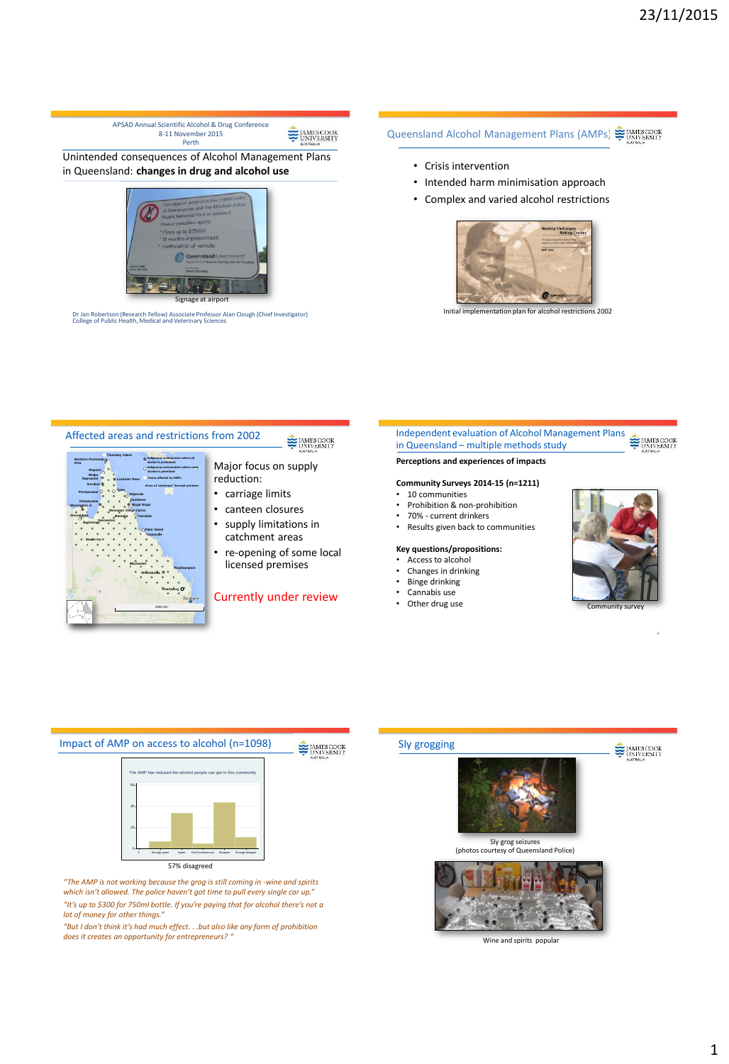Queensland Alcohol Management Plans (AMPs) SUNNESCOOK UNIVERSITY

- Crisis intervention
- Intended harm minimisation approach
- Complex and varied alcohol restrictions



Initial implementation plan for alcohol restrictions 2002





Unintended consequences of Alcohol Management Plans in Queensland: **changes in drug and alcohol use**

APSAD Annual Scientific Alcohol & Drug Conference 8-11 November 2015 Perth

Dr Jan Robertson (Research Fellow) Associate Professor Alan Clough (Chief Investigator) College of Public Health, Medical and Veterinary Sciences

Signal at airport

*which isn't allowed. The police haven't got time to pull every single car up." "It's up to \$300 for 750ml bottle. If you're paying that for alcohol there's not a lot of money for other things."*

*"But I don't think it's had much effect. . .but also like any form of prohibition does it creates an opportunity for entrepreneurs? "*

# Sly grogging **E** MESCOOK Sly grog seizures<br>(photos courtesy of Queens) esy of Queensland Police) Wine and spirits popular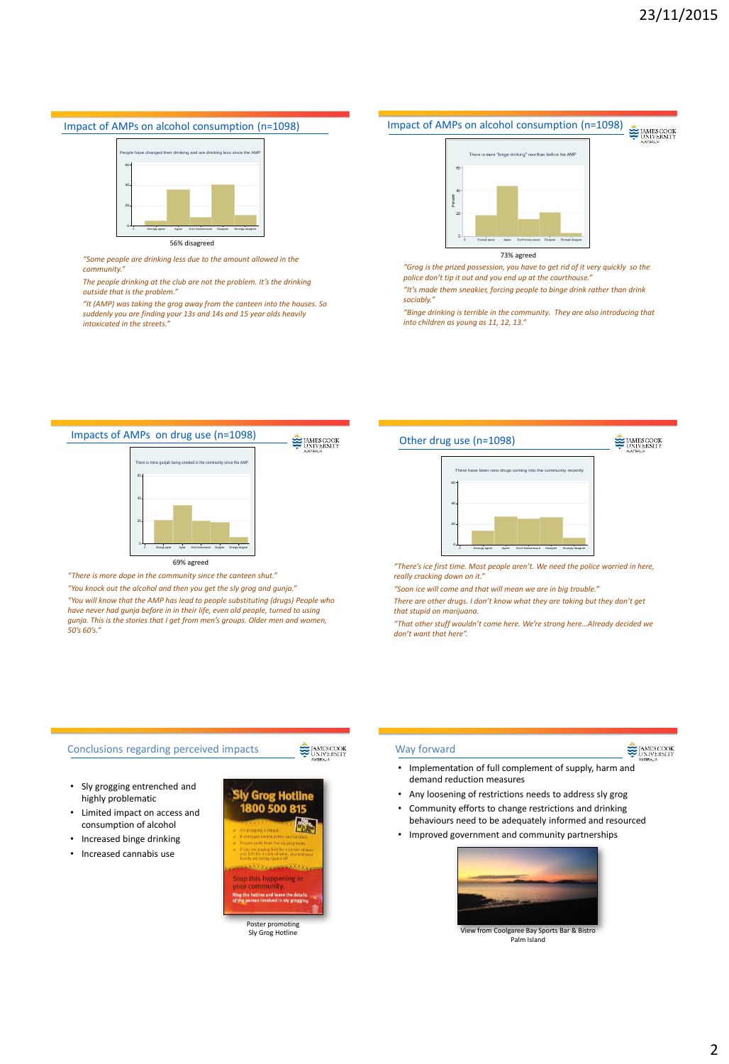#### Impact of AMPs on alcohol consumption (n=1098)



56% disagreed

*"Some people are drinking less due to the amount allowed in the community."* 

*The people drinking at the club are not the problem. It's the drinking outside that is the problem."* 

*"It (AMP) was taking the grog away from the canteen into the houses. So suddenly you are finding your 13s and 14s and 15 year olds heavily intoxicated in the streets."*



*"Grog is the prized possession, you have to get rid of it very quickly so the police don't tip it out and you end up at the courthouse." "It's made them sneakier, forcing people to binge drink rather than drink*  sociably.

*"Binge drinking is terrible in the community. They are also introducing that into children as young as 11, 12, 13."*



*"You will know that the AMP has lead to people substituting (drugs) People who have never had gunja before in in their life, even old people, turned to using gunja. This is the stories that I get from men's groups. Older men and women, 50's 60's."* 



*"There's ice first time. Most people aren't. We need the police worried in here, really cracking down on it."*

*"Soon ice will come and that will mean we are in big trouble."*

*There are other drugs. I don't know what they are taking but they don't get that stupid on marijuana.*

*"That other stuff wouldn't come here. We're strong here…Already decided we don't want that here".* 

### Conclusions regarding perceived impacts

E HAMES COOK

- Sly grogging entrenched and highly problematic
- Limited impact on access and consumption of alcohol
- Increased binge drinking
- Increased cannabis use



Sly Grog Hotline

#### Way forward

### **EMESCOOK**

- Implementation of full complement of supply, harm and demand reduction measures
- Any loosening of restrictions needs to address sly grog • Community efforts to change restrictions and drinking
- behaviours need to be adequately informed and resourced • Improved government and community partnerships
-